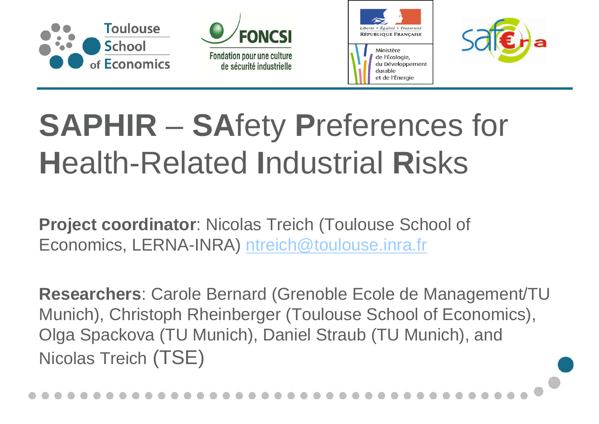







# **SAPHIR** – **SA**fety **P**references for **H**ealth-Related **I**ndustrial **R**isks

**Project coordinator**: Nicolas Treich (Toulouse School of Economics, LERNA-INRA) ntreich@toulouse.inra.fr

**Researchers**: Carole Bernard (Grenoble Ecole de Management/TU Munich), Christoph Rheinberger (Toulouse School of Economics), Olga Spackova (TU Munich), Daniel Straub (TU Munich), and Nicolas Treich (TSE)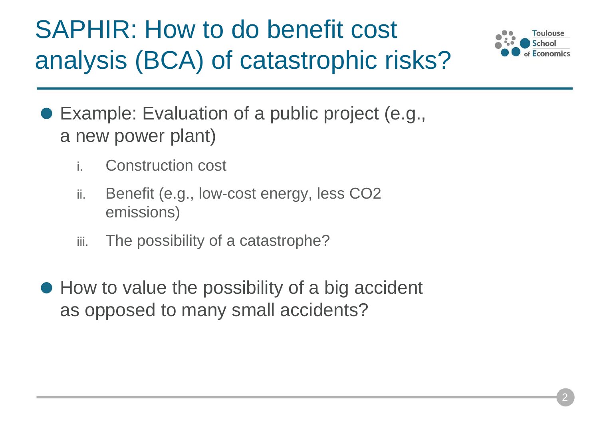## SAPHIR: How to do benefit cost analysis (BCA) of catastrophic risks?



- Example: Evaluation of a public project (e.g., a new power plant)
	- i.Construction cost
	- ii. Benefit (e.g., low-cost energy, less CO2 emissions)
	- iii.The possibility of a catastrophe?
- How to value the possibility of a big accident as opposed to many small accidents?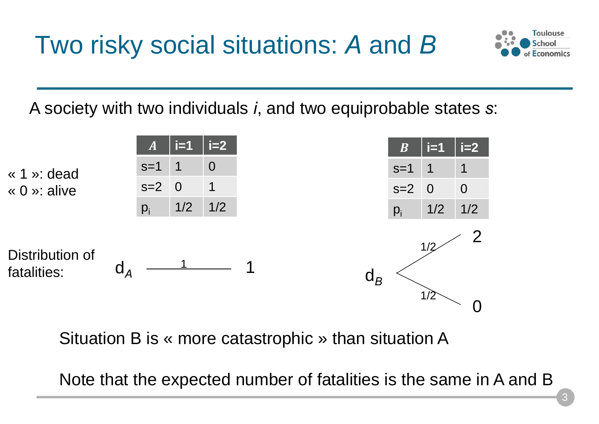Two risky social situations: *A* and *B*



A society with two individuals *i*, and two equiprobable states *s*:



Situation B is « more catastrophic » than situation A

Note that the expected number of fatalities is the same in A and B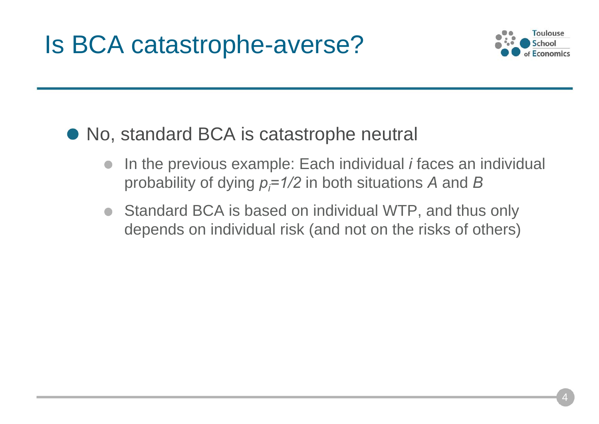

#### • No, standard BCA is catastrophe neutral

- In the previous example: Each individual *i* faces an individual probability of dying *pi=1/2* in both situations *A* and *B*
- Standard BCA is based on individual WTP, and thus only depends on individual risk (and not on the risks of others)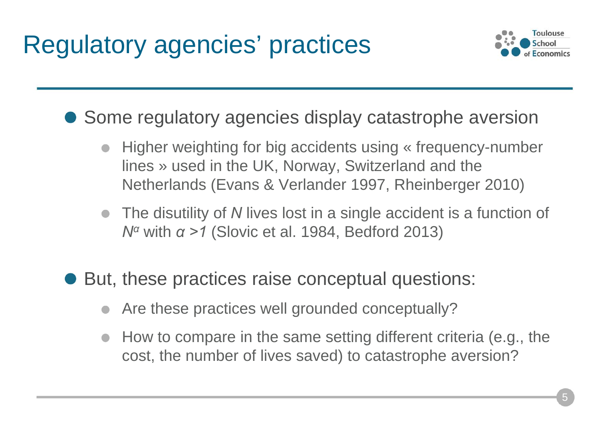

● Some regulatory agencies display catastrophe aversion

- Higher weighting for big accidents using « frequency-number lines » used in the UK, Norway, Switzerland and the Netherlands (Evans & Verlander 1997, Rheinberger 2010)
- The disutility of *N* lives lost in a single accident is a function of *N<sup>α</sup>* with *α >1* (Slovic et al. 1984, Bedford 2013)
- But, these practices raise conceptual questions:
	- Are these practices well grounded conceptually?
	- How to compare in the same setting different criteria (e.g., the cost, the number of lives saved) to catastrophe aversion?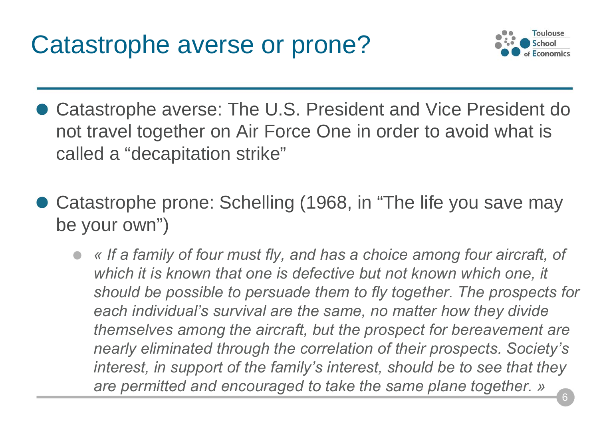Catastrophe averse or prone?



- Catastrophe averse: The U.S. President and Vice President do not travel together on Air Force One in order to avoid what is called a "decapitation strike"
- Catastrophe prone: Schelling (1968, in "The life you save may be your own")
	- *« If a family of four must fly, and has a choice among four aircraft, of which it is known that one is defective but not known which one, it should be possible to persuade them to fly together. The prospects for each individual's survival are the same, no matter how they divide themselves among the aircraft, but the prospect for bereavement are nearly eliminated through the correlation of their prospects. Society's interest, in support of the family's interest, should be to see that they are permitted and encouraged to take the same plane together. »*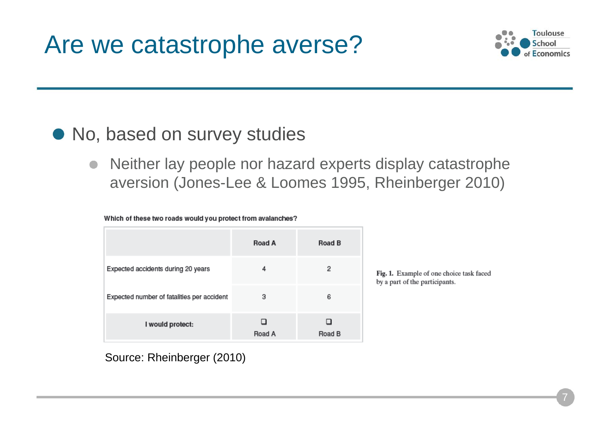

#### • No, based on survey studies

Neither lay people nor hazard experts display catastrophe  $\bullet$ aversion (Jones-Lee & Loomes 1995, Rheinberger 2010)

|  |  | Which of these two roads would you protect from avalanches? |
|--|--|-------------------------------------------------------------|
|  |  |                                                             |

|                                            | <b>Road A</b> | <b>Road B</b> |
|--------------------------------------------|---------------|---------------|
| Expected accidents during 20 years         | 4             | 2             |
| Expected number of fatalities per accident | 3             | 6             |
| I would protect:                           | Road A        | Road B        |

Fig. 1. Example of one choice task faced by a part of the participants.

Source: Rheinberger (2010)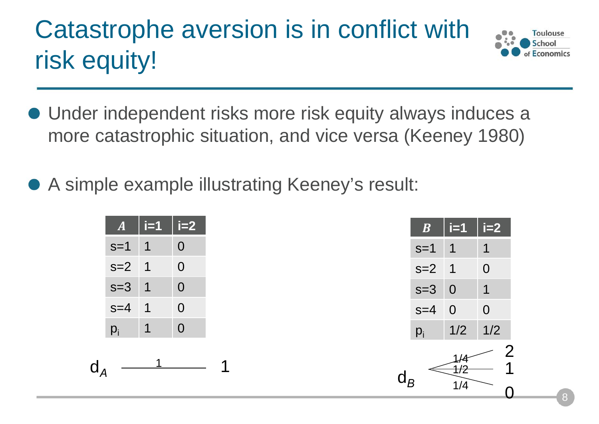## Catastrophe aversion is in conflict with risk equity!



- Under independent risks more risk equity always induces <sup>a</sup> more catastrophic situation, and vice versa (Keeney 1980)
- A simple example illustrating Keeney's result:

| $\boldsymbol{A}$ | $i=1$ | i=2              |
|------------------|-------|------------------|
| $s=1$            | 1     | O                |
| $s=2$            | 1     | 0                |
| $s = 3$          | 1     | 0                |
| $s = 4$          | 1     | 0                |
| $p_i$            |       | $\left( \right)$ |



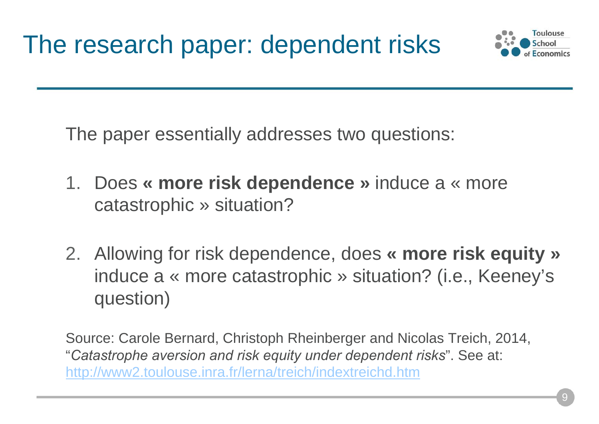

The paper essentially addresses two questions:

- 1. Does **« more risk dependence »** induce a « more catastrophic » situation?
- 2. Allowing for risk dependence, does **« more risk equity »**  induce a « more catastrophic » situation? (i.e., Keeney's question)

Source: Carole Bernard, Christoph Rheinberger and Nicolas Treich, 2014, "*Catastrophe aversion and risk equity under dependent risks*". See at: http://www2.toulouse.inra.fr/lerna/treich/indextreichd.htm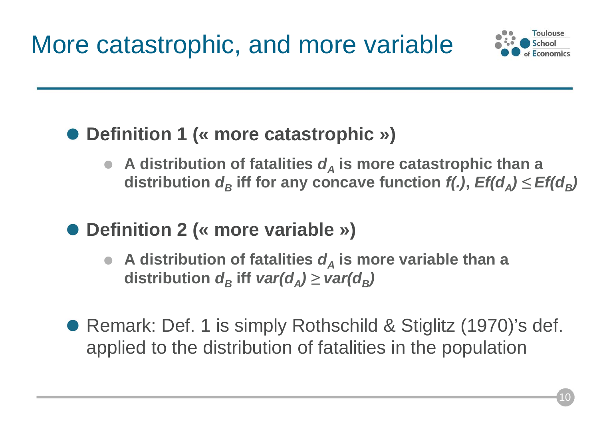

#### **Definition 1 (« more catastrophic »)**

- A distribution of fatalities  $d_A$  is more catastrophic than a  $\bm{d}$  istribution  $\bm{d}_B$  iff for any concave function *f(.),*  $\bm{E}$ *f(d<sub>A</sub>)*  $\leq \bm{E}$ *f(d<sub>B</sub>)*
- **Definition 2 (« more variable »)**
	- A distribution of fatalities  $d_A$  is more variable than a  $\bm{d}$  *distribution*  $\bm{d}_{B}$  *iff*  $\bm{var}(\bm{d}_{A})$  $\geq$  $\bm{var}(\bm{d}_{B})$
- Remark: Def. 1 is simply Rothschild & Stiglitz (1970)'s def. applied to the distribution of fatalities in the population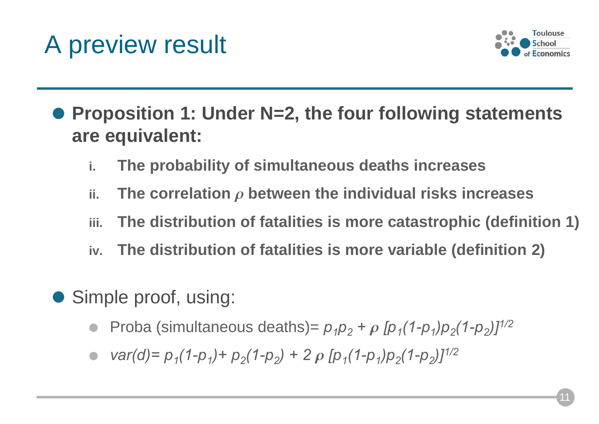### A preview result



- **Proposition 1: Under N=2, the four following statements are equivalent:**
	- **i.The probability of simultaneous deaths increases**
	- **ii.** $\boldsymbol{\mu}$  . The correlation  $\boldsymbol{\rho}$  between the individual risks increases
	- **iii.The distribution of fatalities is more catastrophic (definition 1)**
	- **iv.The distribution of fatalities is more variable (definition 2)**
- Simple proof, using:
	- Proba (simultaneous deaths)=  $p_1p_2 + p_2p_1(1-p_1)p_2(1-p_2)J^{1/2}$
	- $var(d) = p_1(1-p_1) + p_2(1-p_2) + 2p [p_1(1-p_1)p_2(1-p_2)]^{1/2}$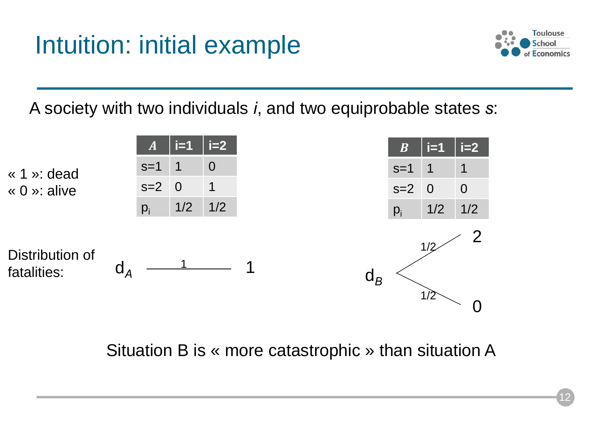

A society with two individuals *i*, and two equiprobable states *s*:



Situation B is « more catastrophic » than situation A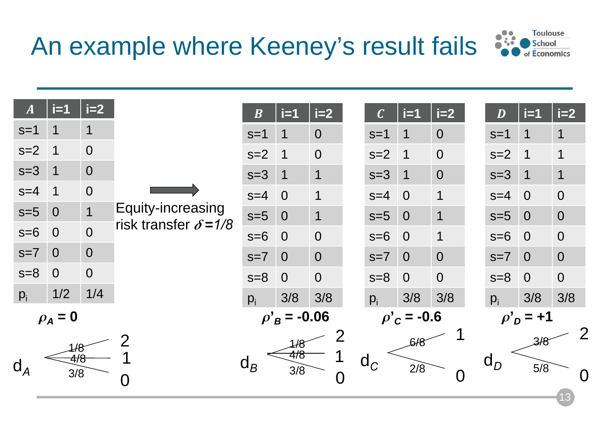### An example where Keeney's result fails



13

| $\boldsymbol{A}$ | $i=1$          | $i=2$          |                                                   | $\boldsymbol{B}$                     | $i=1$          | $i=2$          |  | $\overline{\mathcal{C}}$  | $i=1$          | $i=2$          |  | D                                   | $i=1$                   | $i=2$          |  |
|------------------|----------------|----------------|---------------------------------------------------|--------------------------------------|----------------|----------------|--|---------------------------|----------------|----------------|--|-------------------------------------|-------------------------|----------------|--|
| $s=1$            | 1              | $\mathbf 1$    | Equity-increasing<br>risk transfer $\delta = 1/8$ | $s=1$                                | 1              | $\overline{0}$ |  | $s=1$                     |                | $\overline{0}$ |  | $s=1$                               | 1                       | $\overline{1}$ |  |
| $s=2$            | 1              | $\overline{0}$ |                                                   | $s=2$                                | 1              | $\overline{0}$ |  | $s=2$                     | $\blacksquare$ | $\overline{0}$ |  | $s=2$                               | $\mathbf 1$             | 1              |  |
| $s=3$            | $\mathbf 1$    | $\overline{0}$ |                                                   | $s=3$                                | 1              | 1              |  | $s=3$                     |                | $\overline{0}$ |  | $s=3$                               | $\overline{\mathbf{1}}$ | $\mathbf 1$    |  |
| $s=4$            |                | $\overline{0}$ |                                                   | $s=4$                                | $\overline{0}$ | 1              |  | $s=4$                     | $\overline{0}$ | 1              |  | $s=4$                               | $\overline{0}$          | $\overline{0}$ |  |
| $s=5$            | $\overline{0}$ | $\mathbf 1$    |                                                   | $s=5$                                | $\overline{0}$ | $\mathbf 1$    |  | $s=5$                     | $\overline{0}$ | 1              |  | $s=5$                               | $\overline{0}$          | $\overline{0}$ |  |
| $s=6$            | $\overline{O}$ | $\overline{0}$ |                                                   | $s=6$                                | $\overline{0}$ | $\overline{0}$ |  | $s=6$                     | $\overline{0}$ | 1              |  | $s=6$                               | $\overline{0}$          | $\overline{0}$ |  |
| $s=7$            | $\overline{0}$ | $\overline{0}$ |                                                   | $s=7$                                | $\overline{0}$ | $\overline{0}$ |  | $s=7$                     | $\overline{0}$ | $\overline{0}$ |  | $s=7$                               | $\overline{0}$          | $\overline{0}$ |  |
| $s=8$            | $\overline{0}$ | $\overline{0}$ |                                                   | $s=8$                                | $\overline{0}$ | $\overline{0}$ |  | $s=8$                     | $\overline{0}$ | $\overline{0}$ |  | $s=8$                               | $\overline{0}$          | $\overline{0}$ |  |
| $p_i$            | 1/2            | 1/4            |                                                   | $p_i$                                | 3/8            | 3/8            |  | $p_i$                     | 3/8            | 3/8            |  | $p_i$                               | 3/8                     | 3/8            |  |
| $\rho_A = 0$     |                |                |                                                   | $\rho'_{B} = -0.06$                  |                |                |  | $\rho'_{c}$ = -0.6        |                |                |  | $\rho'_{\scriptscriptstyle D}$ = +1 |                         |                |  |
|                  |                |                | つ                                                 |                                      | 1/8            |                |  |                           | 6/8            |                |  |                                     | 3/8                     | 2              |  |
| $d_A$            |                | 1/8<br>4/8     |                                                   | 4/8<br>$\operatorname{\mathsf{d}}_B$ |                |                |  | $\mathsf{d}_{\mathsf{C}}$ | $2/\bar{8}$    |                |  | $\mathsf{d}_D$<br>5/8               |                         |                |  |
|                  | 3/8            |                | O                                                 | 3/8<br>O                             |                |                |  |                           |                |                |  |                                     |                         |                |  |